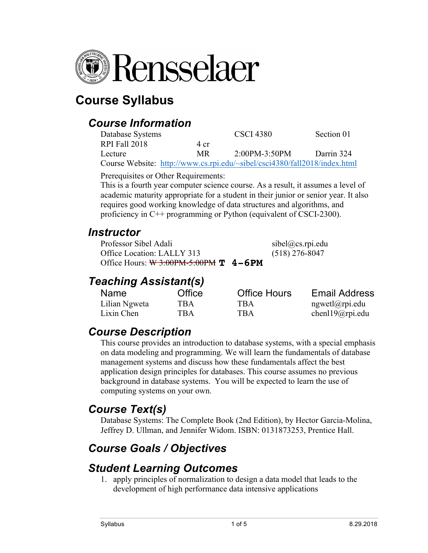

# **Course Syllabus**

#### *Course Information*

| Database Systems |                                                                           | <b>CSCI</b> 4380  | Section 01 |
|------------------|---------------------------------------------------------------------------|-------------------|------------|
| RPI Fall 2018    | 4 cr                                                                      |                   |            |
| Lecture          | MR.                                                                       | $2:00PM - 3:50PM$ | Darrin 324 |
|                  | Course Website: http://www.cs.rpi.edu/~sibel/csci4380/fall2018/index.html |                   |            |

Prerequisites or Other Requirements:

This is a fourth year computer science course. As a result, it assumes a level of academic maturity appropriate for a student in their junior or senior year. It also requires good working knowledge of data structures and algorithms, and proficiency in C++ programming or Python (equivalent of CSCI-2300).

#### *Instructor*

Professor Sibel Adali sibel@cs.rpi.edu Office Location: LALLY 313 (518) 276-8047 Office Hours: <del>W 3:00PM-5:00PM</del> **T** 4-6PM

#### *Teaching Assistant(s)*

| <b>Name</b>   | Office | <b>Office Hours</b> | <b>Email Address</b> |
|---------------|--------|---------------------|----------------------|
| Lilian Ngweta | TBA    | TBA                 | ngwetl@rpi.edu       |
| Lixin Chen    | TBA    | TBA                 | chenl $19$ @rpi.edu  |

### *Course Description*

This course provides an introduction to database systems, with a special emphasis on data modeling and programming. We will learn the fundamentals of database management systems and discuss how these fundamentals affect the best application design principles for databases. This course assumes no previous background in database systems. You will be expected to learn the use of computing systems on your own.

#### *Course Text(s)*

Database Systems: The Complete Book (2nd Edition), by Hector Garcia-Molina, Jeffrey D. Ullman, and Jennifer Widom. ISBN: 0131873253, Prentice Hall.

## *Course Goals / Objectives*

#### *Student Learning Outcomes*

1. apply principles of normalization to design a data model that leads to the development of high performance data intensive applications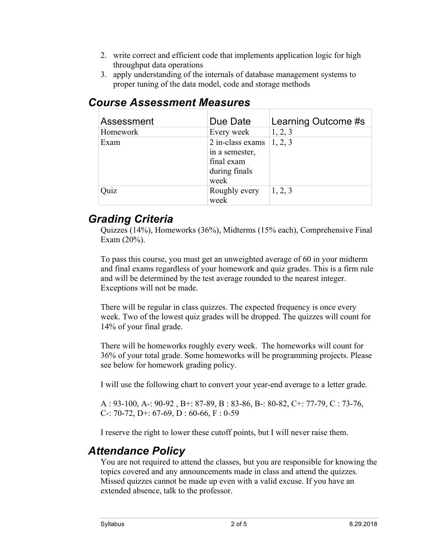- 2. write correct and efficient code that implements application logic for high throughput data operations
- 3. apply understanding of the internals of database management systems to proper tuning of the data model, code and storage methods

| Assessment | Due Date         | Learning Outcome #s |
|------------|------------------|---------------------|
| Homework   | Every week       | 1, 2, 3             |
| Exam       | 2 in-class exams | 1, 2, 3             |
|            | in a semester,   |                     |
|            | final exam       |                     |
|            | during finals    |                     |
|            | week             |                     |
| Quiz       | Roughly every    | 1, 2, 3             |
|            | week             |                     |

#### *Course Assessment Measures*

#### *Grading Criteria*

Quizzes (14%), Homeworks (36%), Midterms (15% each), Comprehensive Final Exam (20%).

To pass this course, you must get an unweighted average of 60 in your midterm and final exams regardless of your homework and quiz grades. This is a firm rule and will be determined by the test average rounded to the nearest integer. Exceptions will not be made.

There will be regular in class quizzes. The expected frequency is once every week. Two of the lowest quiz grades will be dropped. The quizzes will count for 14% of your final grade.

There will be homeworks roughly every week. The homeworks will count for 36% of your total grade. Some homeworks will be programming projects. Please see below for homework grading policy.

I will use the following chart to convert your year-end average to a letter grade.

A : 93-100, A-: 90-92 , B+: 87-89, B : 83-86, B-: 80-82, C+: 77-79, C : 73-76, C-: 70-72, D+: 67-69, D : 60-66, F : 0-59

I reserve the right to lower these cutoff points, but I will never raise them.

#### *Attendance Policy*

You are not required to attend the classes, but you are responsible for knowing the topics covered and any announcements made in class and attend the quizzes. Missed quizzes cannot be made up even with a valid excuse. If you have an extended absence, talk to the professor.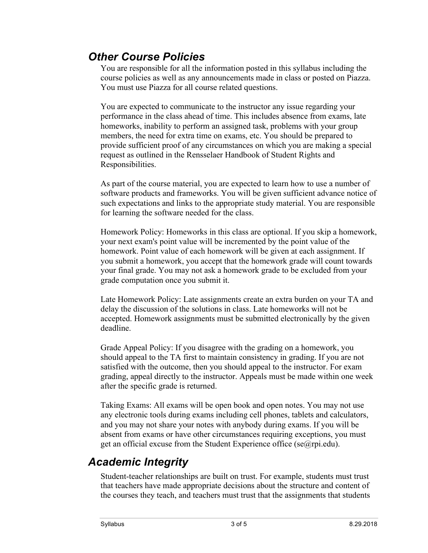#### *Other Course Policies*

You are responsible for all the information posted in this syllabus including the course policies as well as any announcements made in class or posted on Piazza. You must use Piazza for all course related questions.

You are expected to communicate to the instructor any issue regarding your performance in the class ahead of time. This includes absence from exams, late homeworks, inability to perform an assigned task, problems with your group members, the need for extra time on exams, etc. You should be prepared to provide sufficient proof of any circumstances on which you are making a special request as outlined in the Rensselaer Handbook of Student Rights and Responsibilities.

As part of the course material, you are expected to learn how to use a number of software products and frameworks. You will be given sufficient advance notice of such expectations and links to the appropriate study material. You are responsible for learning the software needed for the class.

Homework Policy: Homeworks in this class are optional. If you skip a homework, your next exam's point value will be incremented by the point value of the homework. Point value of each homework will be given at each assignment. If you submit a homework, you accept that the homework grade will count towards your final grade. You may not ask a homework grade to be excluded from your grade computation once you submit it.

Late Homework Policy: Late assignments create an extra burden on your TA and delay the discussion of the solutions in class. Late homeworks will not be accepted. Homework assignments must be submitted electronically by the given deadline.

Grade Appeal Policy: If you disagree with the grading on a homework, you should appeal to the TA first to maintain consistency in grading. If you are not satisfied with the outcome, then you should appeal to the instructor. For exam grading, appeal directly to the instructor. Appeals must be made within one week after the specific grade is returned.

Taking Exams: All exams will be open book and open notes. You may not use any electronic tools during exams including cell phones, tablets and calculators, and you may not share your notes with anybody during exams. If you will be absent from exams or have other circumstances requiring exceptions, you must get an official excuse from the Student Experience office (se@rpi.edu).

#### *Academic Integrity*

Student-teacher relationships are built on trust. For example, students must trust that teachers have made appropriate decisions about the structure and content of the courses they teach, and teachers must trust that the assignments that students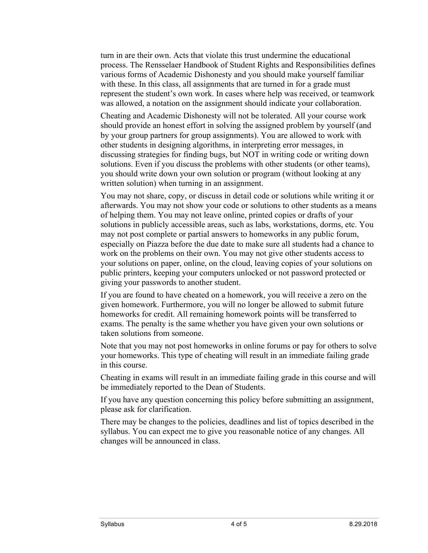turn in are their own. Acts that violate this trust undermine the educational process. The Rensselaer Handbook of Student Rights and Responsibilities defines various forms of Academic Dishonesty and you should make yourself familiar with these. In this class, all assignments that are turned in for a grade must represent the student's own work. In cases where help was received, or teamwork was allowed, a notation on the assignment should indicate your collaboration.

Cheating and Academic Dishonesty will not be tolerated. All your course work should provide an honest effort in solving the assigned problem by yourself (and by your group partners for group assignments). You are allowed to work with other students in designing algorithms, in interpreting error messages, in discussing strategies for finding bugs, but NOT in writing code or writing down solutions. Even if you discuss the problems with other students (or other teams), you should write down your own solution or program (without looking at any written solution) when turning in an assignment.

You may not share, copy, or discuss in detail code or solutions while writing it or afterwards. You may not show your code or solutions to other students as a means of helping them. You may not leave online, printed copies or drafts of your solutions in publicly accessible areas, such as labs, workstations, dorms, etc. You may not post complete or partial answers to homeworks in any public forum, especially on Piazza before the due date to make sure all students had a chance to work on the problems on their own. You may not give other students access to your solutions on paper, online, on the cloud, leaving copies of your solutions on public printers, keeping your computers unlocked or not password protected or giving your passwords to another student.

If you are found to have cheated on a homework, you will receive a zero on the given homework. Furthermore, you will no longer be allowed to submit future homeworks for credit. All remaining homework points will be transferred to exams. The penalty is the same whether you have given your own solutions or taken solutions from someone.

Note that you may not post homeworks in online forums or pay for others to solve your homeworks. This type of cheating will result in an immediate failing grade in this course.

Cheating in exams will result in an immediate failing grade in this course and will be immediately reported to the Dean of Students.

If you have any question concerning this policy before submitting an assignment, please ask for clarification.

There may be changes to the policies, deadlines and list of topics described in the syllabus. You can expect me to give you reasonable notice of any changes. All changes will be announced in class.